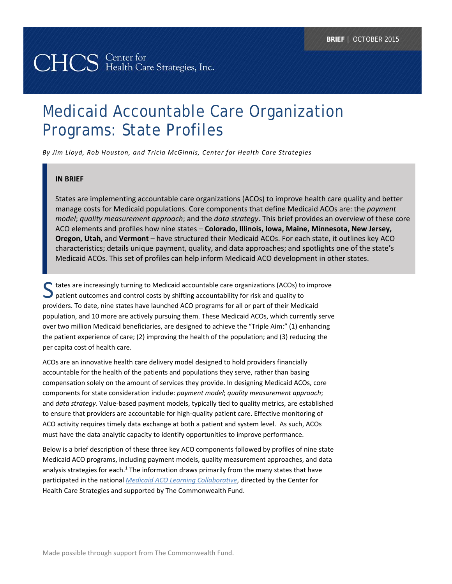# Medicaid Accountable Care Organization Programs: State Profiles

*By Jim Lloyd, Rob Houston, and Tricia McGinnis, Center for Health Care Strategies*

#### **IN BRIEF**

States are implementing accountable care organizations (ACOs) to improve health care quality and better manage costs for Medicaid populations. Core components that define Medicaid ACOs are: the *payment model*; *quality measurement approach*; and the *data strategy*. This brief provides an overview of these core ACO elements and profiles how nine states – **Colorado, Illinois, Iowa, Maine, Minnesota, New Jersey, Oregon, Utah**, and **Vermont** – have structured their Medicaid ACOs. For each state, it outlines key ACO characteristics; details unique payment, quality, and data approaches; and spotlights one of the state's Medicaid ACOs. This set of profiles can help inform Medicaid ACO development in other states.

S tates are increasingly turning to Medicaid accountable care organizations (ACOs) to improve<br>
patient outcomes and control costs by shifting accountability for risk and quality to patient outcomes and control costs by shifting accountability for risk and quality to providers. To date, nine states have launched ACO programs for all or part of their Medicaid population, and 10 more are actively pursuing them. These Medicaid ACOs, which currently serve over two million Medicaid beneficiaries, are designed to achieve the "Triple Aim:" (1) enhancing the patient experience of care; (2) improving the health of the population; and (3) reducing the per capita cost of health care.

ACOs are an innovative health care delivery model designed to hold providers financially accountable for the health of the patients and populations they serve, rather than basing compensation solely on the amount of services they provide. In designing Medicaid ACOs, core components for state consideration include: *payment model*; *quality measurement approach*; and *data strategy*. Value‐based payment models, typically tied to quality metrics, are established to ensure that providers are accountable for high-quality patient care. Effective monitoring of ACO activity requires timely data exchange at both a patient and system level. As such, ACOs must have the data analytic capacity to identify opportunities to improve performance.

Below is a brief description of these three key ACO components followed by profiles of nine state Medicaid ACO programs, including payment models, quality measurement approaches, and data analysis strategies for each.<sup>1</sup> The information draws primarily from the many states that have participated in the national *Medicaid ACO Learning Collaborative*, directed by the Center for Health Care Strategies and supported by The Commonwealth Fund.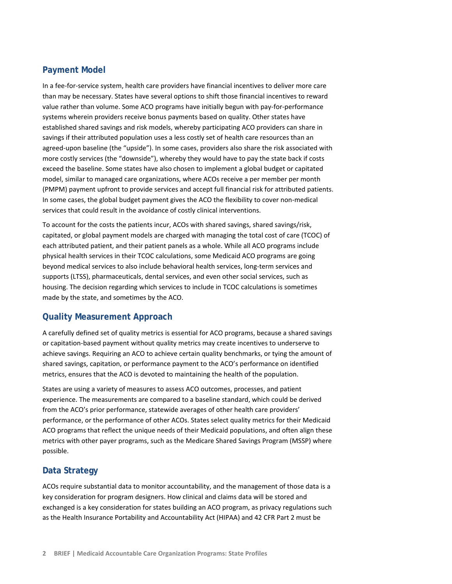# **Payment Model**

In a fee‐for‐service system, health care providers have financial incentives to deliver more care than may be necessary. States have several options to shift those financial incentives to reward value rather than volume. Some ACO programs have initially begun with pay‐for‐performance systems wherein providers receive bonus payments based on quality. Other states have established shared savings and risk models, whereby participating ACO providers can share in savings if their attributed population uses a less costly set of health care resources than an agreed-upon baseline (the "upside"). In some cases, providers also share the risk associated with more costly services (the "downside"), whereby they would have to pay the state back if costs exceed the baseline. Some states have also chosen to implement a global budget or capitated model, similar to managed care organizations, where ACOs receive a per member per month (PMPM) payment upfront to provide services and accept full financial risk for attributed patients. In some cases, the global budget payment gives the ACO the flexibility to cover non‐medical services that could result in the avoidance of costly clinical interventions.

To account for the costs the patients incur, ACOs with shared savings, shared savings/risk, capitated, or global payment models are charged with managing the total cost of care (TCOC) of each attributed patient, and their patient panels as a whole. While all ACO programs include physical health services in their TCOC calculations, some Medicaid ACO programs are going beyond medical services to also include behavioral health services, long-term services and supports (LTSS), pharmaceuticals, dental services, and even other social services, such as housing. The decision regarding which services to include in TCOC calculations is sometimes made by the state, and sometimes by the ACO.

# **Quality Measurement Approach**

A carefully defined set of quality metrics is essential for ACO programs, because a shared savings or capitation‐based payment without quality metrics may create incentives to underserve to achieve savings. Requiring an ACO to achieve certain quality benchmarks, or tying the amount of shared savings, capitation, or performance payment to the ACO's performance on identified metrics, ensures that the ACO is devoted to maintaining the health of the population.

States are using a variety of measures to assess ACO outcomes, processes, and patient experience. The measurements are compared to a baseline standard, which could be derived from the ACO's prior performance, statewide averages of other health care providers' performance, or the performance of other ACOs. States select quality metrics for their Medicaid ACO programs that reflect the unique needs of their Medicaid populations, and often align these metrics with other payer programs, such as the Medicare Shared Savings Program (MSSP) where possible.

# **Data Strategy**

ACOs require substantial data to monitor accountability, and the management of those data is a key consideration for program designers. How clinical and claims data will be stored and exchanged is a key consideration for states building an ACO program, as privacy regulations such as the Health Insurance Portability and Accountability Act (HIPAA) and 42 CFR Part 2 must be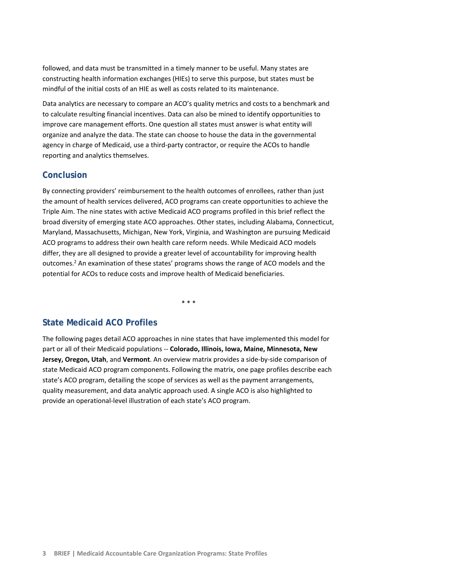followed, and data must be transmitted in a timely manner to be useful. Many states are constructing health information exchanges (HIEs) to serve this purpose, but states must be mindful of the initial costs of an HIE as well as costs related to its maintenance.

Data analytics are necessary to compare an ACO's quality metrics and costs to a benchmark and to calculate resulting financial incentives. Data can also be mined to identify opportunities to improve care management efforts. One question all states must answer is what entity will organize and analyze the data. The state can choose to house the data in the governmental agency in charge of Medicaid, use a third-party contractor, or require the ACOs to handle reporting and analytics themselves.

# **Conclusion**

By connecting providers' reimbursement to the health outcomes of enrollees, rather than just the amount of health services delivered, ACO programs can create opportunities to achieve the Triple Aim. The nine states with active Medicaid ACO programs profiled in this brief reflect the broad diversity of emerging state ACO approaches. Other states, including Alabama, Connecticut, Maryland, Massachusetts, Michigan, New York, Virginia, and Washington are pursuing Medicaid ACO programs to address their own health care reform needs. While Medicaid ACO models differ, they are all designed to provide a greater level of accountability for improving health outcomes.<sup>2</sup> An examination of these states' programs shows the range of ACO models and the potential for ACOs to reduce costs and improve health of Medicaid beneficiaries.

\* \* \*

# **State Medicaid ACO Profiles**

The following pages detail ACO approaches in nine states that have implemented this model for part or all of their Medicaid populations ‐‐ **Colorado, Illinois, Iowa, Maine, Minnesota, New Jersey, Oregon, Utah**, and **Vermont**. An overview matrix provides a side‐by‐side comparison of state Medicaid ACO program components. Following the matrix, one page profiles describe each state's ACO program, detailing the scope of services as well as the payment arrangements, quality measurement, and data analytic approach used. A single ACO is also highlighted to provide an operational-level illustration of each state's ACO program.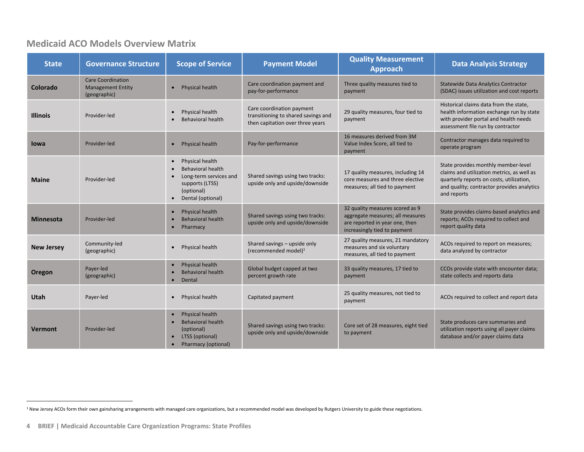# **Medicaid ACO Models Overview Matrix**

| <b>State</b>      | <b>Governance Structure</b>                                          | <b>Scope of Service</b>                                                                                                                               | <b>Payment Model</b>                                                                                 | <b>Quality Measurement</b><br><b>Approach</b>                                                                                         | <b>Data Analysis Strategy</b>                                                                                                                                                              |
|-------------------|----------------------------------------------------------------------|-------------------------------------------------------------------------------------------------------------------------------------------------------|------------------------------------------------------------------------------------------------------|---------------------------------------------------------------------------------------------------------------------------------------|--------------------------------------------------------------------------------------------------------------------------------------------------------------------------------------------|
| Colorado          | <b>Care Coordination</b><br><b>Management Entity</b><br>(geographic) | Physical health<br>$\bullet$                                                                                                                          | Care coordination payment and<br>pay-for-performance                                                 | Three quality measures tied to<br>payment                                                                                             | <b>Statewide Data Analytics Contractor</b><br>(SDAC) issues utilization and cost reports                                                                                                   |
| <b>Illinois</b>   | Provider-led                                                         | Physical health<br>$\bullet$<br><b>Behavioral health</b>                                                                                              | Care coordination payment<br>transitioning to shared savings and<br>then capitation over three years | 29 quality measures, four tied to<br>payment                                                                                          | Historical claims data from the state,<br>health information exchange run by state<br>with provider portal and health needs<br>assessment file run by contractor                           |
| lowa              | Provider-led                                                         | Physical health<br>$\bullet$                                                                                                                          | Pay-for-performance                                                                                  | 16 measures derived from 3M<br>Value Index Score, all tied to<br>payment                                                              | Contractor manages data required to<br>operate program                                                                                                                                     |
| <b>Maine</b>      | Provider-led                                                         | Physical health<br>$\bullet$<br><b>Behavioral health</b><br>Long-term services and<br>supports (LTSS)<br>(optional)<br>Dental (optional)<br>$\bullet$ | Shared savings using two tracks:<br>upside only and upside/downside                                  | 17 quality measures, including 14<br>core measures and three elective<br>measures; all tied to payment                                | State provides monthly member-level<br>claims and utilization metrics, as well as<br>quarterly reports on costs, utilization,<br>and quality; contractor provides analytics<br>and reports |
| <b>Minnesota</b>  | Provider-led                                                         | Physical health<br>$\bullet$<br><b>Behavioral health</b><br>Pharmacy<br>$\bullet$                                                                     | Shared savings using two tracks:<br>upside only and upside/downside                                  | 32 quality measures scored as 9<br>aggregate measures; all measures<br>are reported in year one, then<br>increasingly tied to payment | State provides claims-based analytics and<br>reports; ACOs required to collect and<br>report quality data                                                                                  |
| <b>New Jersey</b> | Community-led<br>(geographic)                                        | Physical health<br>$\bullet$                                                                                                                          | Shared savings - upside only<br>(recommended model) $1$                                              | 27 quality measures, 21 mandatory<br>measures and six voluntary<br>measures, all tied to payment                                      | ACOs required to report on measures;<br>data analyzed by contractor                                                                                                                        |
| Oregon            | Payer-led<br>(geographic)                                            | Physical health<br>Behavioral health<br>Dental<br>$\bullet$                                                                                           | Global budget capped at two<br>percent growth rate                                                   | 33 quality measures, 17 tied to<br>payment                                                                                            | CCOs provide state with encounter data;<br>state collects and reports data                                                                                                                 |
| Utah              | Payer-led                                                            | Physical health<br>$\bullet$                                                                                                                          | Capitated payment                                                                                    | 25 quality measures, not tied to<br>payment                                                                                           | ACOs required to collect and report data                                                                                                                                                   |
| <b>Vermont</b>    | Provider-led                                                         | Physical health<br><b>Behavioral health</b><br>(optional)<br>LTSS (optional)<br>$\bullet$<br>Pharmacy (optional)<br>$\bullet$                         | Shared savings using two tracks:<br>upside only and upside/downside                                  | Core set of 28 measures, eight tied<br>to payment                                                                                     | State produces care summaries and<br>utilization reports using all payer claims<br>database and/or payer claims data                                                                       |

<sup>&</sup>lt;sup>1</sup> New Jersey ACOs form their own gainsharing arrangements with managed care organizations, but a recommended model was developed by Rutgers University to guide these negotiations.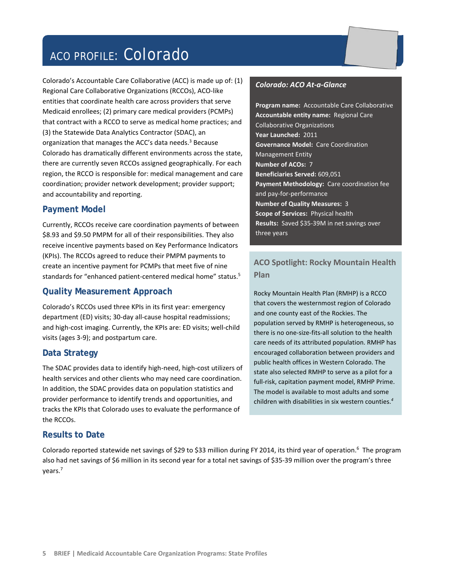# ACO PROFILE: Colorado

Colorado's Accountable Care Collaborative (ACC) is made up of: (1) Regional Care Collaborative Organizations (RCCOs), ACO‐like entities that coordinate health care across providers that serve Medicaid enrollees; (2) primary care medical providers (PCMPs) that contract with a RCCO to serve as medical home practices; and (3) the Statewide Data Analytics Contractor (SDAC), an organization that manages the ACC's data needs. $3$  Because Colorado has dramatically different environments across the state, there are currently seven RCCOs assigned geographically. For each region, the RCCO is responsible for: medical management and care coordination; provider network development; provider support; and accountability and reporting.

#### **Payment Model**

Currently, RCCOs receive care coordination payments of between \$8.93 and \$9.50 PMPM for all of their responsibilities. They also receive incentive payments based on Key Performance Indicators (KPIs). The RCCOs agreed to reduce their PMPM payments to create an incentive payment for PCMPs that meet five of nine standards for "enhanced patient-centered medical home" status.<sup>5</sup>

#### **Quality Measurement Approach**

Colorado's RCCOs used three KPIs in its first year: emergency department (ED) visits; 30‐day all‐cause hospital readmissions; and high-cost imaging. Currently, the KPIs are: ED visits; well-child visits (ages 3‐9); and postpartum care.

#### **Data Strategy**

The SDAC provides data to identify high‐need, high‐cost utilizers of health services and other clients who may need care coordination. In addition, the SDAC provides data on population statistics and provider performance to identify trends and opportunities, and tracks the KPIs that Colorado uses to evaluate the performance of the RCCOs.

#### **Results to Date**

*Colorado: ACO At‐a‐Glance*

**Program name:** Accountable Care Collaborative **Accountable entity name:** Regional Care Collaborative Organizations **Year Launched:** 2011 **Governance Model:** Care Coordination Management Entity **Number of ACOs:** 7 **Beneficiaries Served:** 609,051 **Payment Methodology:** Care coordination fee and pay‐for‐performance **Number of Quality Measures:** 3 **Scope of Services:** Physical health Results: Saved \$35-39M in net savings over three years

# **ACO Spotlight: Rocky Mountain Health Plan**

Rocky Mountain Health Plan (RMHP) is a RCCO that covers the westernmost region of Colorado and one county east of the Rockies. The population served by RMHP is heterogeneous, so there is no one‐size‐fits‐all solution to the health care needs of its attributed population. RMHP has encouraged collaboration between providers and public health offices in Western Colorado. The state also selected RMHP to serve as a pilot for a full-risk, capitation payment model, RMHP Prime. The model is available to most adults and some children with disabilities in six western counties.*<sup>4</sup>*

Colorado reported statewide net savings of \$29 to \$33 million during FY 2014, its third year of operation.<sup>6</sup> The program also had net savings of \$6 million in its second year for a total net savings of \$35-39 million over the program's three years.7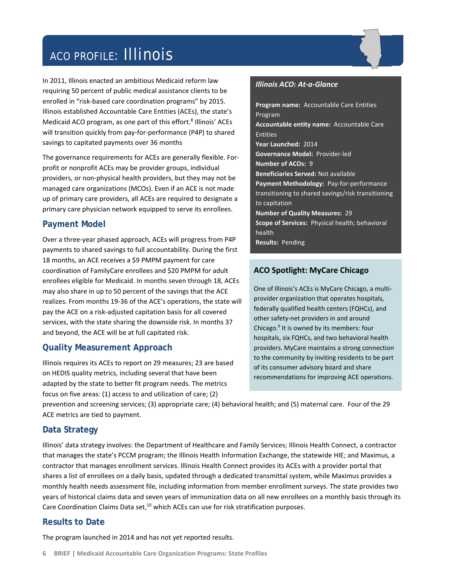# ACO PROFILE: Illinois

In 2011, Illinois enacted an ambitious Medicaid reform law requiring 50 percent of public medical assistance clients to be enrolled in "risk‐based care coordination programs" by 2015. Illinois established Accountable Care Entities (ACEs), the state's Medicaid ACO program, as one part of this effort.<sup>8</sup> Illinois' ACEs will transition quickly from pay‐for‐performance (P4P) to shared savings to capitated payments over 36 months

The governance requirements for ACEs are generally flexible. For‐ profit or nonprofit ACEs may be provider groups, individual providers, or non‐physical health providers, but they may not be managed care organizations (MCOs). Even if an ACE is not made up of primary care providers, all ACEs are required to designate a primary care physician network equipped to serve its enrollees.

# **Payment Model**

Over a three‐year phased approach, ACEs will progress from P4P payments to shared savings to full accountability. During the first 18 months, an ACE receives a \$9 PMPM payment for care coordination of FamilyCare enrollees and \$20 PMPM for adult enrollees eligible for Medicaid. In months seven through 18, ACEs may also share in up to 50 percent of the savings that the ACE realizes. From months 19‐36 of the ACE's operations, the state will pay the ACE on a risk‐adjusted capitation basis for all covered services, with the state sharing the downside risk. In months 37 and beyond, the ACE will be at full capitated risk.

# **Quality Measurement Approach**

Illinois requires its ACEs to report on 29 measures; 23 are based on HEDIS quality metrics, including several that have been adapted by the state to better fit program needs. The metrics focus on five areas: (1) access to and utilization of care; (2)

#### *Illinois ACO: At‐a‐Glance*

**Program name:** Accountable Care Entities Program **Accountable entity name:** Accountable Care Entities **Year Launched:** 2014 **Governance Model:** Provider‐led **Number of ACOs:** 9 **Beneficiaries Served:** Not available **Payment Methodology:** Pay‐for‐performance transitioning to shared savings/risk transitioning to capitation **Number of Quality Measures:** 29 **Scope of Services:** Physical health; behavioral health **Results:** Pending

# **ACO Spotlight: MyCare Chicago**

One of Illinois's ACEs is MyCare Chicago, a multi‐ provider organization that operates hospitals, federally qualified health centers (FQHCs), and other safety‐net providers in and around Chicago.<sup>9</sup> It is owned by its members: four hospitals, six FQHCs, and two behavioral health providers. MyCare maintains a strong connection to the community by inviting residents to be part of its consumer advisory board and share recommendations for improving ACE operations.

prevention and screening services; (3) appropriate care; (4) behavioral health; and (5) maternal care. Four of the 29 ACE metrics are tied to payment.

# **Data Strategy**

Illinois' data strategy involves: the Department of Healthcare and Family Services; Illinois Health Connect, a contractor that manages the state's PCCM program; the Illinois Health Information Exchange, the statewide HIE; and Maximus, a contractor that manages enrollment services. Illinois Health Connect provides its ACEs with a provider portal that shares a list of enrollees on a daily basis, updated through a dedicated transmittal system, while Maximus provides a monthly health needs assessment file, including information from member enrollment surveys. The state provides two years of historical claims data and seven years of immunization data on all new enrollees on a monthly basis through its Care Coordination Claims Data set, $^{10}$  which ACEs can use for risk stratification purposes.

# **Results to Date**

The program launched in 2014 and has not yet reported results.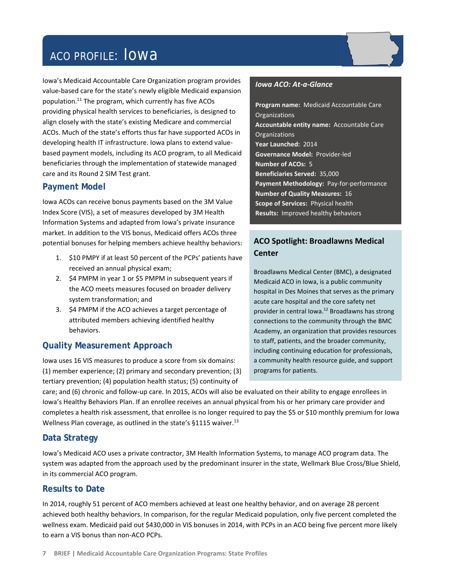# ACO PROFILE: Iowa

Iowa's Medicaid Accountable Care Organization program provides value‐based care for the state's newly eligible Medicaid expansion population.11 The program, which currently has five ACOs providing physical health services to beneficiaries, is designed to align closely with the state's existing Medicare and commercial ACOs. Much of the state's efforts thus far have supported ACOs in developing health IT infrastructure. Iowa plans to extend value‐ based payment models, including its ACO program, to all Medicaid beneficiaries through the implementation of statewide managed care and its Round 2 SIM Test grant.

# **Payment Model**

Iowa ACOs can receive bonus payments based on the 3M Value Index Score (VIS), a set of measures developed by 3M Health Information Systems and adapted from Iowa's private insurance market. In addition to the VIS bonus, Medicaid offers ACOs three potential bonuses for helping members achieve healthy behaviors:

- 1. \$10 PMPY if at least 50 percent of the PCPs' patients have received an annual physical exam;
- 2. \$4 PMPM in year 1 or \$5 PMPM in subsequent years if the ACO meets measures focused on broader delivery system transformation; and
- 3. \$4 PMPM if the ACO achieves a target percentage of attributed members achieving identified healthy behaviors.

# **Quality Measurement Approach**

Iowa uses 16 VIS measures to produce a score from six domains: (1) member experience; (2) primary and secondary prevention; (3) tertiary prevention; (4) population health status; (5) continuity of

#### *Iowa ACO: At‐a‐Glance*

**Program name:** Medicaid Accountable Care **Organizations Accountable entity name:** Accountable Care **Organizations Year Launched:** 2014 **Governance Model:** Provider‐led **Number of ACOs:** 5 **Beneficiaries Served:** 35,000 **Payment Methodology:** Pay‐for‐performance **Number of Quality Measures:** 16 **Scope of Services:** Physical health **Results:** Improved healthy behaviors

# **ACO Spotlight: Broadlawns Medical Center**

Broadlawns Medical Center (BMC), a designated Medicaid ACO in Iowa, is a public community hospital in Des Moines that serves as the primary acute care hospital and the core safety net provider in central Iowa.12 Broadlawns has strong connections to the community through the BMC Academy, an organization that provides resources to staff, patients, and the broader community, including continuing education for professionals, a community health resource guide, and support programs for patients.

care; and (6) chronic and follow‐up care. In 2015, ACOs will also be evaluated on their ability to engage enrollees in Iowa's Healthy Behaviors Plan. If an enrollee receives an annual physical from his or her primary care provider and completes a health risk assessment, that enrollee is no longer required to pay the \$5 or \$10 monthly premium for Iowa Wellness Plan coverage, as outlined in the state's  $§1115$  waiver.<sup>13</sup>

# **Data Strategy**

Iowa's Medicaid ACO uses a private contractor, 3M Health Information Systems, to manage ACO program data. The system was adapted from the approach used by the predominant insurer in the state, Wellmark Blue Cross/Blue Shield, in its commercial ACO program.

# **Results to Date**

In 2014, roughly 51 percent of ACO members achieved at least one healthy behavior, and on average 28 percent achieved both healthy behaviors. In comparison, for the regular Medicaid population, only five percent completed the wellness exam. Medicaid paid out \$430,000 in VIS bonuses in 2014, with PCPs in an ACO being five percent more likely to earn a VIS bonus than non‐ACO PCPs.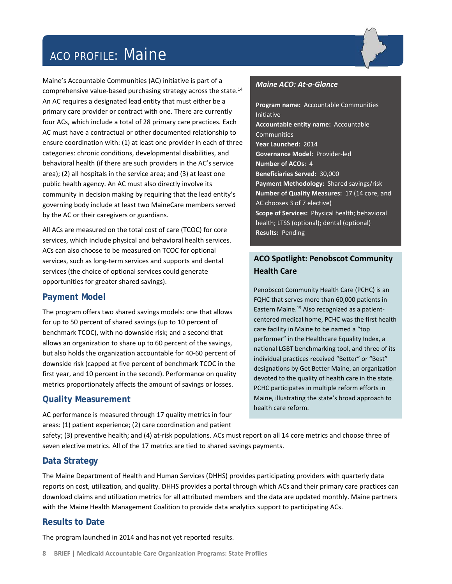# ACO PROFILE: Maine

Maine's Accountable Communities (AC) initiative is part of a comprehensive value-based purchasing strategy across the state.<sup>14</sup> An AC requires a designated lead entity that must either be a primary care provider or contract with one. There are currently four ACs, which include a total of 28 primary care practices. Each AC must have a contractual or other documented relationship to ensure coordination with: (1) at least one provider in each of three categories: chronic conditions, developmental disabilities, and behavioral health (if there are such providers in the AC's service area); (2) all hospitals in the service area; and (3) at least one public health agency. An AC must also directly involve its community in decision making by requiring that the lead entity's governing body include at least two MaineCare members served by the AC or their caregivers or guardians.

All ACs are measured on the total cost of care (TCOC) for core services, which include physical and behavioral health services. ACs can also choose to be measured on TCOC for optional services, such as long-term services and supports and dental services (the choice of optional services could generate opportunities for greater shared savings).

# **Payment Model**

The program offers two shared savings models: one that allows for up to 50 percent of shared savings (up to 10 percent of benchmark TCOC), with no downside risk; and a second that allows an organization to share up to 60 percent of the savings, but also holds the organization accountable for 40‐60 percent of downside risk (capped at five percent of benchmark TCOC in the first year, and 10 percent in the second). Performance on quality metrics proportionately affects the amount of savings or losses.

# **Quality Measurement**

AC performance is measured through 17 quality metrics in four areas: (1) patient experience; (2) care coordination and patient



#### *Maine ACO: At‐a‐Glance*

**Program name:** Accountable Communities Initiative **Accountable entity name:** Accountable Communities **Year Launched:** 2014 **Governance Model:** Provider‐led **Number of ACOs:** 4 **Beneficiaries Served:** 30,000 **Payment Methodology:** Shared savings/risk **Number of Quality Measures:** 17 (14 core, and AC chooses 3 of 7 elective) **Scope of Services:** Physical health; behavioral health; LTSS (optional); dental (optional) **Results: Pending** 

# **ACO Spotlight: Penobscot Community Health Care**

Penobscot Community Health Care (PCHC) is an FQHC that serves more than 60,000 patients in Eastern Maine.<sup>15</sup> Also recognized as a patientcentered medical home, PCHC was the first health care facility in Maine to be named a "top performer" in the Healthcare Equality Index, a national LGBT benchmarking tool, and three of its individual practices received "Better" or "Best" designations by Get Better Maine, an organization devoted to the quality of health care in the state. PCHC participates in multiple reform efforts in Maine, illustrating the state's broad approach to health care reform.

safety; (3) preventive health; and (4) at-risk populations. ACs must report on all 14 core metrics and choose three of seven elective metrics. All of the 17 metrics are tied to shared savings payments.

# **Data Strategy**

The Maine Department of Health and Human Services (DHHS) provides participating providers with quarterly data reports on cost, utilization, and quality. DHHS provides a portal through which ACs and their primary care practices can download claims and utilization metrics for all attributed members and the data are updated monthly. Maine partners with the Maine Health Management Coalition to provide data analytics support to participating ACs.

# **Results to Date**

The program launched in 2014 and has not yet reported results.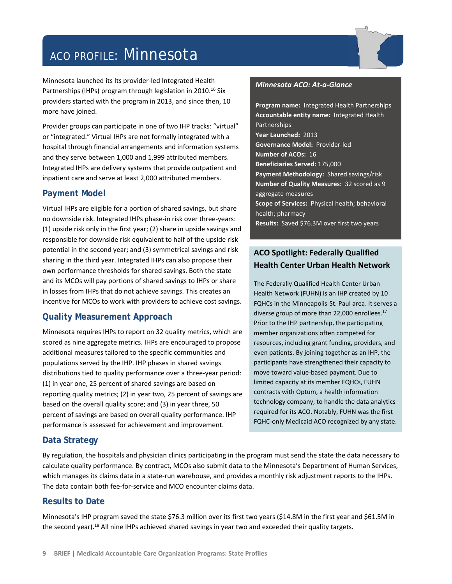# ACO PROFILE: Minnesota

Minnesota launched its Its provider‐led Integrated Health Partnerships (IHPs) program through legislation in 2010.<sup>16</sup> Six providers started with the program in 2013, and since then, 10 more have joined.

Provider groups can participate in one of two IHP tracks: "virtual" or "integrated." Virtual IHPs are not formally integrated with a hospital through financial arrangements and information systems and they serve between 1,000 and 1,999 attributed members. Integrated IHPs are delivery systems that provide outpatient and inpatient care and serve at least 2,000 attributed members.

#### **Payment Model**

Virtual IHPs are eligible for a portion of shared savings, but share no downside risk. Integrated IHPs phase-in risk over three-years: (1) upside risk only in the first year; (2) share in upside savings and responsible for downside risk equivalent to half of the upside risk potential in the second year; and (3) symmetrical savings and risk sharing in the third year. Integrated IHPs can also propose their own performance thresholds for shared savings. Both the state and its MCOs will pay portions of shared savings to IHPs or share in losses from IHPs that do not achieve savings. This creates an incentive for MCOs to work with providers to achieve cost savings.

# **Quality Measurement Approach**

Minnesota requires IHPs to report on 32 quality metrics, which are scored as nine aggregate metrics. IHPs are encouraged to propose additional measures tailored to the specific communities and populations served by the IHP. IHP phases in shared savings distributions tied to quality performance over a three‐year period: (1) in year one, 25 percent of shared savings are based on reporting quality metrics; (2) in year two, 25 percent of savings are based on the overall quality score; and (3) in year three, 50 percent of savings are based on overall quality performance. IHP performance is assessed for achievement and improvement.

#### *Minnesota ACO: At‐a‐Glance*

**Program name:** Integrated Health Partnerships **Accountable entity name:** Integrated Health Partnerships **Year Launched:** 2013 **Governance Model:** Provider‐led **Number of ACOs:** 16 **Beneficiaries Served:** 175,000 **Payment Methodology:** Shared savings/risk **Number of Quality Measures:** 32 scored as 9 aggregate measures **Scope of Services:** Physical health; behavioral health; pharmacy Results: Saved \$76.3M over first two years

# **ACO Spotlight: Federally Qualified Health Center Urban Health Network**

The Federally Qualified Health Center Urban Health Network (FUHN) is an IHP created by 10 FQHCs in the Minneapolis‐St. Paul area. It serves a diverse group of more than 22,000 enrollees.<sup>17</sup> Prior to the IHP partnership, the participating member organizations often competed for resources, including grant funding, providers, and even patients. By joining together as an IHP, the participants have strengthened their capacity to move toward value‐based payment. Due to limited capacity at its member FQHCs, FUHN contracts with Optum, a health information technology company, to handle the data analytics required for its ACO. Notably, FUHN was the first FQHC‐only Medicaid ACO recognized by any state.

# **Data Strategy**

By regulation, the hospitals and physician clinics participating in the program must send the state the data necessary to calculate quality performance. By contract, MCOs also submit data to the Minnesota's Department of Human Services, which manages its claims data in a state-run warehouse, and provides a monthly risk adjustment reports to the IHPs. The data contain both fee‐for‐service and MCO encounter claims data.

# **Results to Date**

Minnesota's IHP program saved the state \$76.3 million over its first two years (\$14.8M in the first year and \$61.5M in the second year).<sup>18</sup> All nine IHPs achieved shared savings in year two and exceeded their quality targets.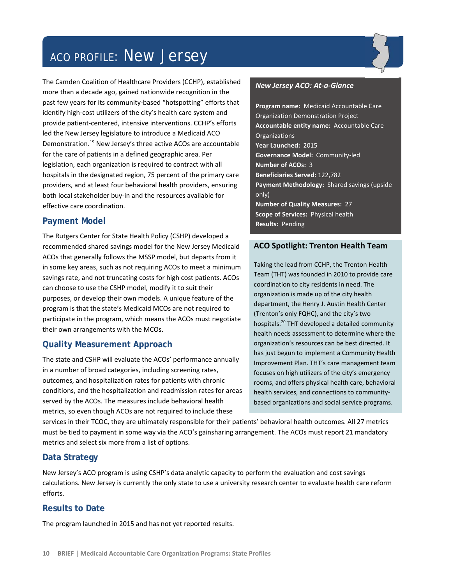# ACO PROFILE: New Jersey

The Camden Coalition of Healthcare Providers (CCHP), established more than a decade ago, gained nationwide recognition in the past few years for its community‐based "hotspotting" efforts that identify high-cost utilizers of the city's health care system and provide patient‐centered, intensive interventions. CCHP's efforts led the New Jersey legislature to introduce a Medicaid ACO Demonstration.19 New Jersey's three active ACOs are accountable for the care of patients in a defined geographic area. Per legislation, each organization is required to contract with all hospitals in the designated region, 75 percent of the primary care providers, and at least four behavioral health providers, ensuring both local stakeholder buy‐in and the resources available for effective care coordination.

# **Payment Model**

The Rutgers Center for State Health Policy (CSHP) developed a recommended shared savings model for the New Jersey Medicaid ACOs that generally follows the MSSP model, but departs from it in some key areas, such as not requiring ACOs to meet a minimum savings rate, and not truncating costs for high cost patients. ACOs can choose to use the CSHP model, modify it to suit their purposes, or develop their own models. A unique feature of the program is that the state's Medicaid MCOs are not required to participate in the program, which means the ACOs must negotiate their own arrangements with the MCOs.

# **Quality Measurement Approach**

The state and CSHP will evaluate the ACOs' performance annually in a number of broad categories, including screening rates, outcomes, and hospitalization rates for patients with chronic conditions, and the hospitalization and readmission rates for areas served by the ACOs. The measures include behavioral health metrics, so even though ACOs are not required to include these

#### *New Jersey ACO: At‐a‐Glance*

**Program name:** Medicaid Accountable Care Organization Demonstration Project **Accountable entity name:** Accountable Care **Organizations Year Launched:** 2015 **Governance Model:** Community‐led **Number of ACOs:** 3 **Beneficiaries Served:** 122,782 **Payment Methodology:** Shared savings (upside only) **Number of Quality Measures:** 27 **Scope of Services:** Physical health **Results: Pending** 

#### **ACO Spotlight: Trenton Health Team**

Taking the lead from CCHP, the Trenton Health Team (THT) was founded in 2010 to provide care coordination to city residents in need. The organization is made up of the city health department, the Henry J. Austin Health Center (Trenton's only FQHC), and the city's two hospitals.20 THT developed a detailed community health needs assessment to determine where the organization's resources can be best directed. It has just begun to implement a Community Health Improvement Plan. THT's care management team focuses on high utilizers of the city's emergency rooms, and offers physical health care, behavioral health services, and connections to community‐ based organizations and social service programs.

services in their TCOC, they are ultimately responsible for their patients' behavioral health outcomes. All 27 metrics must be tied to payment in some way via the ACO's gainsharing arrangement. The ACOs must report 21 mandatory metrics and select six more from a list of options.

# **Data Strategy**

New Jersey's ACO program is using CSHP's data analytic capacity to perform the evaluation and cost savings calculations. New Jersey is currently the only state to use a university research center to evaluate health care reform efforts.

# **Results to Date**

The program launched in 2015 and has not yet reported results.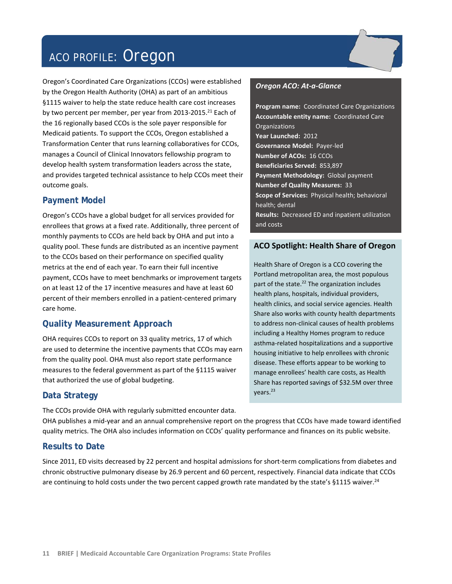# ACO PROFILE: Oregon

Oregon's Coordinated Care Organizations (CCOs) were established by the Oregon Health Authority (OHA) as part of an ambitious §1115 waiver to help the state reduce health care cost increases by two percent per member, per year from 2013-2015.<sup>21</sup> Each of the 16 regionally based CCOs is the sole payer responsible for Medicaid patients. To support the CCOs, Oregon established a Transformation Center that runs learning collaboratives for CCOs, manages a Council of Clinical Innovators fellowship program to develop health system transformation leaders across the state, and provides targeted technical assistance to help CCOs meet their outcome goals.

# **Payment Model**

Oregon's CCOs have a global budget for all services provided for enrollees that grows at a fixed rate. Additionally, three percent of monthly payments to CCOs are held back by OHA and put into a quality pool. These funds are distributed as an incentive payment to the CCOs based on their performance on specified quality metrics at the end of each year. To earn their full incentive payment, CCOs have to meet benchmarks or improvement targets on at least 12 of the 17 incentive measures and have at least 60 percent of their members enrolled in a patient‐centered primary care home.

# **Quality Measurement Approach**

OHA requires CCOs to report on 33 quality metrics, 17 of which are used to determine the incentive payments that CCOs may earn from the quality pool. OHA must also report state performance measures to the federal government as part of the §1115 waiver that authorized the use of global budgeting.

# **Data Strategy**

The CCOs provide OHA with regularly submitted encounter data.

#### *Oregon ACO: At‐a‐Glance*

**Program name:** Coordinated Care Organizations **Accountable entity name:** Coordinated Care **Organizations Year Launched:** 2012 **Governance Model:** Payer‐led **Number of ACOs:** 16 CCOs **Beneficiaries Served:** 853,897 **Payment Methodology:** Global payment **Number of Quality Measures:** 33 **Scope of Services:** Physical health; behavioral health; dental **Results:** Decreased ED and inpatient utilization and costs

#### **ACO Spotlight: Health Share of Oregon**

Health Share of Oregon is a CCO covering the Portland metropolitan area, the most populous part of the state.<sup>22</sup> The organization includes health plans, hospitals, individual providers, health clinics, and social service agencies. Health Share also works with county health departments to address non‐clinical causes of health problems including a Healthy Homes program to reduce asthma‐related hospitalizations and a supportive housing initiative to help enrollees with chronic disease. These efforts appear to be working to manage enrollees' health care costs, as Health Share has reported savings of \$32.5M over three years.23

OHA publishes a mid‐year and an annual comprehensive report on the progress that CCOs have made toward identified quality metrics. The OHA also includes information on CCOs' quality performance and finances on its public website.

# **Results to Date**

Since 2011, ED visits decreased by 22 percent and hospital admissions for short‐term complications from diabetes and chronic obstructive pulmonary disease by 26.9 percent and 60 percent, respectively. Financial data indicate that CCOs are continuing to hold costs under the two percent capped growth rate mandated by the state's §1115 waiver.<sup>24</sup>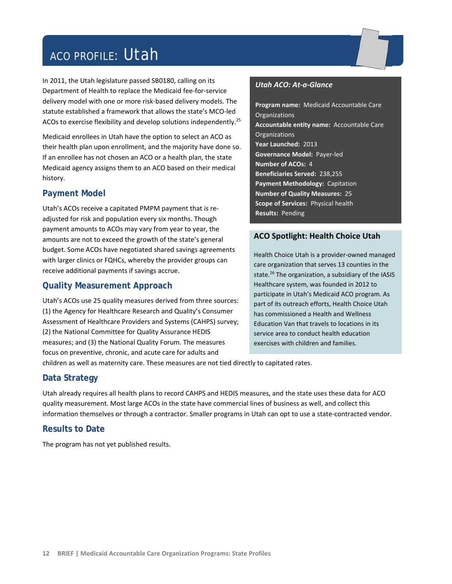# ACO PROFILE: Utah

In 2011, the Utah legislature passed SB0180, calling on its Department of Health to replace the Medicaid fee‐for‐service delivery model with one or more risk‐based delivery models. The statute established a framework that allows the state's MCO‐led ACOs to exercise flexibility and develop solutions independently.<sup>25</sup>

Medicaid enrollees in Utah have the option to select an ACO as their health plan upon enrollment, and the majority have done so. If an enrollee has not chosen an ACO or a health plan, the state Medicaid agency assigns them to an ACO based on their medical history.

#### **Payment Model**

Utah's ACOs receive a capitated PMPM payment that is re‐ adjusted for risk and population every six months. Though payment amounts to ACOs may vary from year to year, the amounts are not to exceed the growth of the state's general budget. Some ACOs have negotiated shared savings agreements with larger clinics or FQHCs, whereby the provider groups can receive additional payments if savings accrue.

# **Quality Measurement Approach**

Utah's ACOs use 25 quality measures derived from three sources: (1) the Agency for Healthcare Research and Quality's Consumer Assessment of Healthcare Providers and Systems (CAHPS) survey; (2) the National Committee for Quality Assurance HEDIS measures; and (3) the National Quality Forum. The measures focus on preventive, chronic, and acute care for adults and

#### *Utah ACO: At‐a‐Glance*

**Program name:** Medicaid Accountable Care **Organizations Accountable entity name:** Accountable Care **Organizations Year Launched:** 2013 **Governance Model:** Payer‐led **Number of ACOs:** 4 **Beneficiaries Served:** 238,255 **Payment Methodology:** Capitation **Number of Quality Measures:** 25 **Scope of Services:** Physical health **Results:** Pending

#### **ACO Spotlight: Health Choice Utah**

Health Choice Utah is a provider‐owned managed care organization that serves 13 counties in the state.<sup>26</sup> The organization, a subsidiary of the IASIS Healthcare system, was founded in 2012 to participate in Utah's Medicaid ACO program. As part of its outreach efforts, Health Choice Utah has commissioned a Health and Wellness Education Van that travels to locations in its service area to conduct health education exercises with children and families.

children as well as maternity care. These measures are not tied directly to capitated rates.

#### **Data Strategy**

Utah already requires all health plans to record CAHPS and HEDIS measures, and the state uses these data for ACO quality measurement. Most large ACOs in the state have commercial lines of business as well, and collect this information themselves or through a contractor. Smaller programs in Utah can opt to use a state-contracted vendor.

# **Results to Date**

The program has not yet published results.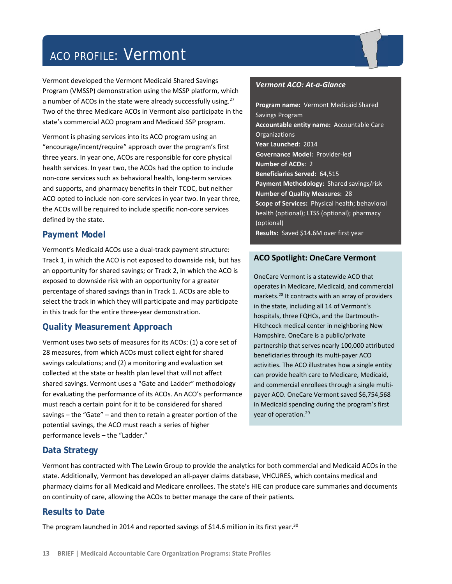# ACO PROFILE: Vermont

Vermont developed the Vermont Medicaid Shared Savings Program (VMSSP) demonstration using the MSSP platform, which a number of ACOs in the state were already successfully using.<sup>27</sup> Two of the three Medicare ACOs in Vermont also participate in the state's commercial ACO program and Medicaid SSP program.

Vermont is phasing services into its ACO program using an "encourage/incent/require" approach over the program's first three years. In year one, ACOs are responsible for core physical health services. In year two, the ACOs had the option to include non‐core services such as behavioral health, long‐term services and supports, and pharmacy benefits in their TCOC, but neither ACO opted to include non‐core services in year two. In year three, the ACOs will be required to include specific non‐core services defined by the state.

# **Payment Model**

Vermont's Medicaid ACOs use a dual‐track payment structure: Track 1, in which the ACO is not exposed to downside risk, but has an opportunity for shared savings; or Track 2, in which the ACO is exposed to downside risk with an opportunity for a greater percentage of shared savings than in Track 1. ACOs are able to select the track in which they will participate and may participate in this track for the entire three‐year demonstration.

# **Quality Measurement Approach**

Vermont uses two sets of measures for its ACOs: (1) a core set of 28 measures, from which ACOs must collect eight for shared savings calculations; and (2) a monitoring and evaluation set collected at the state or health plan level that will not affect shared savings. Vermont uses a "Gate and Ladder" methodology for evaluating the performance of its ACOs. An ACO's performance must reach a certain point for it to be considered for shared savings – the "Gate" – and then to retain a greater portion of the potential savings, the ACO must reach a series of higher performance levels – the "Ladder."

#### *Vermont ACO: At‐a‐Glance*

**Program name:** Vermont Medicaid Shared Savings Program **Accountable entity name:** Accountable Care Organizations **Year Launched:** 2014 **Governance Model:** Provider‐led **Number of ACOs:** 2 **Beneficiaries Served:** 64,515 **Payment Methodology:** Shared savings/risk **Number of Quality Measures:** 28 **Scope of Services:** Physical health; behavioral health (optional); LTSS (optional); pharmacy (optional) **Results:** Saved \$14.6M over first year

# **ACO Spotlight: OneCare Vermont**

OneCare Vermont is a statewide ACO that operates in Medicare, Medicaid, and commercial markets.28 It contracts with an array of providers in the state, including all 14 of Vermont's hospitals, three FQHCs, and the Dartmouth‐ Hitchcock medical center in neighboring New Hampshire. OneCare is a public/private partnership that serves nearly 100,000 attributed beneficiaries through its multi‐payer ACO activities. The ACO illustrates how a single entity can provide health care to Medicare, Medicaid, and commercial enrollees through a single multi‐ payer ACO. OneCare Vermont saved \$6,754,568 in Medicaid spending during the program's first year of operation.<sup>29</sup>

# **Data Strategy**

Vermont has contracted with The Lewin Group to provide the analytics for both commercial and Medicaid ACOs in the state. Additionally, Vermont has developed an all‐payer claims database, VHCURES, which contains medical and pharmacy claims for all Medicaid and Medicare enrollees. The state's HIE can produce care summaries and documents on continuity of care, allowing the ACOs to better manage the care of their patients.

# **Results to Date**

The program launched in 2014 and reported savings of \$14.6 million in its first year.<sup>30</sup>